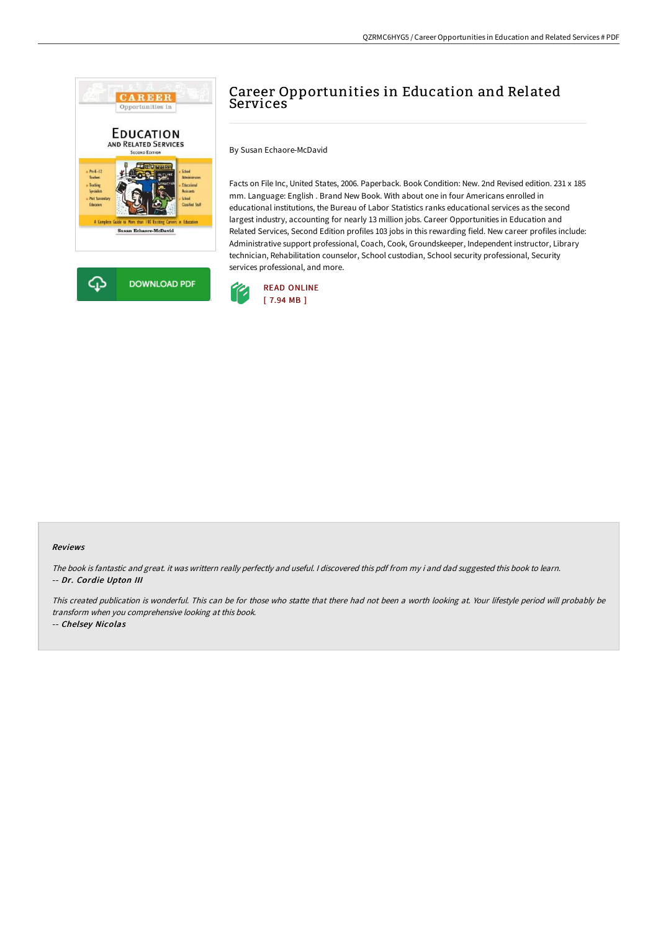



By Susan Echaore-McDavid

Facts on File Inc, United States, 2006. Paperback. Book Condition: New. 2nd Revised edition. 231 x 185 mm. Language: English . Brand New Book. With about one in four Americans enrolled in educational institutions, the Bureau of Labor Statistics ranks educational services as the second largest industry, accounting for nearly 13 million jobs. Career Opportunities in Education and Related Services, Second Edition profiles 103 jobs in this rewarding field. New career profiles include: Administrative support professional, Coach, Cook, Groundskeeper, Independent instructor, Library technician, Rehabilitation counselor, School custodian, School security professional, Security services professional, and more.



## Reviews

The book is fantastic and great. it was writtern really perfectly and useful. <sup>I</sup> discovered this pdf from my i and dad suggested this book to learn. -- Dr. Cordie Upton III

This created publication is wonderful. This can be for those who statte that there had not been <sup>a</sup> worth looking at. Your lifestyle period will probably be transform when you comprehensive looking at this book.

-- Chelsey Nicolas